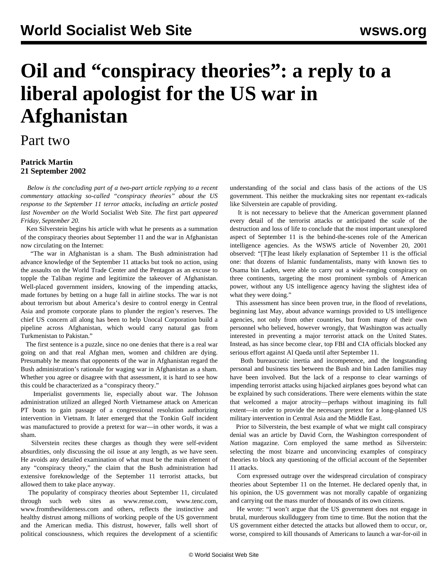## **Oil and "conspiracy theories": a reply to a liberal apologist for the US war in Afghanistan**

## Part two

## **Patrick Martin 21 September 2002**

 *Below is the concluding part of a two-part article replying to a recent commentary attacking so-called "conspiracy theories" about the US response to the September 11 terror attacks, including an article posted last November on the* World Socialist Web Site*. The* [first part](oil1-s20.shtml) *appeared Friday, September 20.*

 Ken Silverstein begins his article with what he presents as a summation of the conspiracy theories about September 11 and the war in Afghanistan now circulating on the Internet:

 "The war in Afghanistan is a sham. The Bush administration had advance knowledge of the September 11 attacks but took no action, using the assaults on the World Trade Center and the Pentagon as an excuse to topple the Taliban regime and legitimize the takeover of Afghanistan. Well-placed government insiders, knowing of the impending attacks, made fortunes by betting on a huge fall in airline stocks. The war is not about terrorism but about America's desire to control energy in Central Asia and promote corporate plans to plunder the region's reserves. The chief US concern all along has been to help Unocal Corporation build a pipeline across Afghanistan, which would carry natural gas from Turkmenistan to Pakistan."

 The first sentence is a puzzle, since no one denies that there is a real war going on and that real Afghan men, women and children are dying. Presumably he means that opponents of the war in Afghanistan regard the Bush administration's rationale for waging war in Afghanistan as a sham. Whether you agree or disagree with that assessment, it is hard to see how this could be characterized as a "conspiracy theory."

 Imperialist governments lie, especially about war. The Johnson administration utilized an alleged North Vietnamese attack on American PT boats to gain passage of a congressional resolution authorizing intervention in Vietnam. It later emerged that the Tonkin Gulf incident was manufactured to provide a pretext for war—in other words, it was a sham.

 Silverstein recites these charges as though they were self-evident absurdities, only discussing the oil issue at any length, as we have seen. He avoids any detailed examination of what must be the main element of any "conspiracy theory," the claim that the Bush administration had extensive foreknowledge of the September 11 terrorist attacks, but allowed them to take place anyway.

 The popularity of conspiracy theories about September 11, circulated through such web sites as www.rense.com, www.tenc.com, www.fromthewilderness.com and others, reflects the instinctive and healthy distrust among millions of working people of the US government and the American media. This distrust, however, falls well short of political consciousness, which requires the development of a scientific

understanding of the social and class basis of the actions of the US government. This neither the muckraking sites nor repentant ex-radicals like Silverstein are capable of providing.

 It is not necessary to believe that the American government planned every detail of the terrorist attacks or anticipated the scale of the destruction and loss of life to conclude that the most important unexplored aspect of September 11 is the behind-the-scenes role of the American intelligence agencies. As the WSWS article of November 20, 2001 observed: "[T]he least likely explanation of September 11 is the official one: that dozens of Islamic fundamentalists, many with known ties to Osama bin Laden, were able to carry out a wide-ranging conspiracy on three continents, targeting the most prominent symbols of American power, without any US intelligence agency having the slightest idea of what they were doing."

 This assessment has since been proven true, in the flood of revelations, beginning last May, about advance warnings provided to US intelligence agencies, not only from other countries, but from many of their own personnel who believed, however wrongly, that Washington was actually interested in preventing a major terrorist attack on the United States. Instead, as has since become clear, top FBI and CIA officials blocked any serious effort against Al Qaeda until after September 11.

 Both bureaucratic inertia and incompetence, and the longstanding personal and business ties between the Bush and bin Laden families may have been involved. But the lack of a response to clear warnings of impending terrorist attacks using hijacked airplanes goes beyond what can be explained by such considerations. There were elements within the state that welcomed a major atrocity—perhaps without imagining its full extent—in order to provide the necessary pretext for a long-planned US military intervention in Central Asia and the Middle East.

 Prior to Silverstein, the best example of what we might call conspiracy denial was an article by David Corn, the Washington correspondent of *Nation* magazine. Corn employed the same method as Silverstein: selecting the most bizarre and unconvincing examples of conspiracy theories to block any questioning of the official account of the September 11 attacks.

 Corn expressed outrage over the widespread circulation of conspiracy theories about September 11 on the Internet. He declared openly that, in his opinion, the US government was not morally capable of organizing and carrying out the mass murder of thousands of its own citizens.

 He wrote: "I won't argue that the US government does not engage in brutal, murderous skullduggery from time to time. But the notion that the US government either detected the attacks but allowed them to occur, or, worse, conspired to kill thousands of Americans to launch a war-for-oil in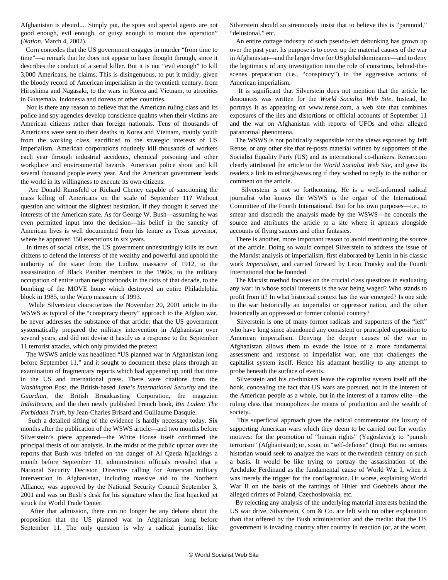Afghanistan is absurd.... Simply put, the spies and special agents are not good enough, evil enough, or gutsy enough to mount this operation" (*Nation*, March 4, 2002).

 Corn concedes that the US government engages in murder "from time to time"—a remark that he does not appear to have thought through, since it describes the conduct of a serial killer. But it is not "evil enough" to kill 3,000 Americans, he claims. This is disingenuous, to put it mildly, given the bloody record of American imperialism in the twentieth century, from Hiroshima and Nagasaki, to the wars in Korea and Vietnam, to atrocities in Guatemala, Indonesia and dozens of other countries.

 Nor is there any reason to believe that the American ruling class and its police and spy agencies develop conscience qualms when their victims are American citizens rather than foreign nationals. Tens of thousands of Americans were sent to their deaths in Korea and Vietnam, mainly youth from the working class, sacrificed to the strategic interests of US imperialism. American corporations routinely kill thousands of workers each year through industrial accidents, chemical poisoning and other workplace and environmental hazards. American police shoot and kill several thousand people every year. And the American government leads the world in its willingness to execute its own citizens.

 Are Donald Rumsfeld or Richard Cheney capable of sanctioning the mass killing of Americans on the scale of September 11? Without question and without the slightest hesitation, if they thought it served the interests of the American state. As for George W. Bush—assuming he was even permitted input into the decision—his belief in the sanctity of American lives is well documented from his tenure as Texas governor, where he approved 150 executions in six years.

 In times of social crisis, the US government unhesitatingly kills its own citizens to defend the interests of the wealthy and powerful and uphold the authority of the state: from the Ludlow massacre of 1912, to the assassination of Black Panther members in the 1960s, to the military occupation of entire urban neighborhoods in the riots of that decade, to the bombing of the MOVE home which destroyed an entire Philadelphia block in 1985, to the Waco massacre of 1993.

 While Silverstein characterizes the November 20, 2001 article in the WSWS as typical of the "conspiracy theory" approach to the Afghan war, he never addresses the substance of that article: that the US government systematically prepared the military intervention in Afghanistan over several years, and did not devise it hastily as a response to the September 11 terrorist attacks, which only provided the pretext.

 The WSWS article was headlined "US planned war in Afghanistan long before September 11," and it sought to document these plans through an examination of fragmentary reports which had appeared up until that time in the US and international press. There were citations from the *Washington Post*, the British-based *Jane's International Security* and the *Guardian*, the British Broadcasting Corporation, the magazine *IndiaReacts*, and the then newly published French book*, Bin Laden: The Forbidden Truth*, by Jean-Charles Brisard and Guillaume Dasquie.

 Such a detailed sifting of the evidence is hardly necessary today. Six months after the publication of the WSWS article—and two months before Silverstein's piece appeared—the White House itself confirmed the principal thesis of our analysis. In the midst of the public uproar over the reports that Bush was briefed on the danger of Al Qaeda hijackings a month before September 11, administration officials revealed that a National Security Decision Directive calling for American military intervention in Afghanistan, including massive aid to the Northern Alliance, was approved by the National Security Council September 3, 2001 and was on Bush's desk for his signature when the first hijacked jet struck the World Trade Center.

 After that admission, there can no longer be any debate about the proposition that the US planned war in Afghanistan long before September 11. The only question is why a radical journalist like Silverstein should so strenuously insist that to believe this is "paranoid," "delusional," etc.

 An entire cottage industry of such pseudo-left debunking has grown up over the past year. Its purpose is to cover up the material causes of the war in Afghanistan—and the larger drive for US global dominance—and to deny the legitimacy of any investigation into the role of conscious, behind-thescenes preparation (i.e., "conspiracy") in the aggressive actions of American imperialism.

 It is significant that Silverstein does not mention that the article he denounces was written for the *World Socialist Web Site*. Instead, he portrays it as appearing on www.rense.com, a web site that combines exposures of the lies and distortions of official accounts of September 11 and the war on Afghanistan with reports of UFOs and other alleged paranormal phenomena.

 The WSWS is not politically responsible for the views espoused by Jeff Rense, or any other site that re-posts material written by supporters of the Socialist Equality Party (US) and its international co-thinkers. Rense.com clearly attributed the article to the *World Socialist Web Site*, and gave its readers a link to editor@wsws.org if they wished to reply to the author or comment on the article.

 Silverstein is not so forthcoming. He is a well-informed radical journalist who knows the WSWS is the organ of the International Committee of the Fourth International. But for his own purposes—i.e., to smear and discredit the analysis made by the WSWS—he conceals the source and attributes the article to a site where it appears alongside accounts of flying saucers and other fantasies.

 There is another, more important reason to avoid mentioning the source of the article. Doing so would compel Silverstein to address the issue of the Marxist analysis of imperialism, first elaborated by Lenin in his classic work *Imperialism*, and carried forward by Leon Trotsky and the Fourth International that he founded.

 The Marxist method focuses on the crucial class questions in evaluating any war: in whose social interests is the war being waged? Who stands to profit from it? In what historical context has the war emerged? Is one side in the war historically an imperialist or oppressor nation, and the other historically an oppressed or former colonial country?

 Silverstein is one of many former radicals and supporters of the "left" who have long since abandoned any consistent or principled opposition to American imperialism. Denying the deeper causes of the war in Afghanistan allows them to evade the issue of a more fundamental assessment and response to imperialist war, one that challenges the capitalist system itself. Hence his adamant hostility to any attempt to probe beneath the surface of events.

 Silverstein and his co-thinkers leave the capitalist system itself off the hook, concealing the fact that US wars are pursued, not in the interest of the American people as a whole, but in the interest of a narrow elite—the ruling class that monopolizes the means of production and the wealth of society.

 This superficial approach gives the radical commentator the luxury of supporting American wars which they deem to be carried out for worthy motives: for the promotion of "human rights" (Yugoslavia); to "punish terrorism" (Afghanistan); or, soon, in "self-defense" (Iraq). But no serious historian would seek to analyze the wars of the twentieth century on such a basis. It would be like trying to portray the assassination of the Archduke Ferdinand as the fundamental cause of World War I, when it was merely the trigger for the conflagration. Or worse, explaining World War II on the basis of the rantings of Hitler and Goebbels about the alleged crimes of Poland, Czechoslovakia, etc.

 By rejecting any analysis of the underlying material interests behind the US war drive, Silverstein, Corn & Co. are left with no other explanation than that offered by the Bush administration and the media: that the US government is invading country after country in reaction (or, at the worst,